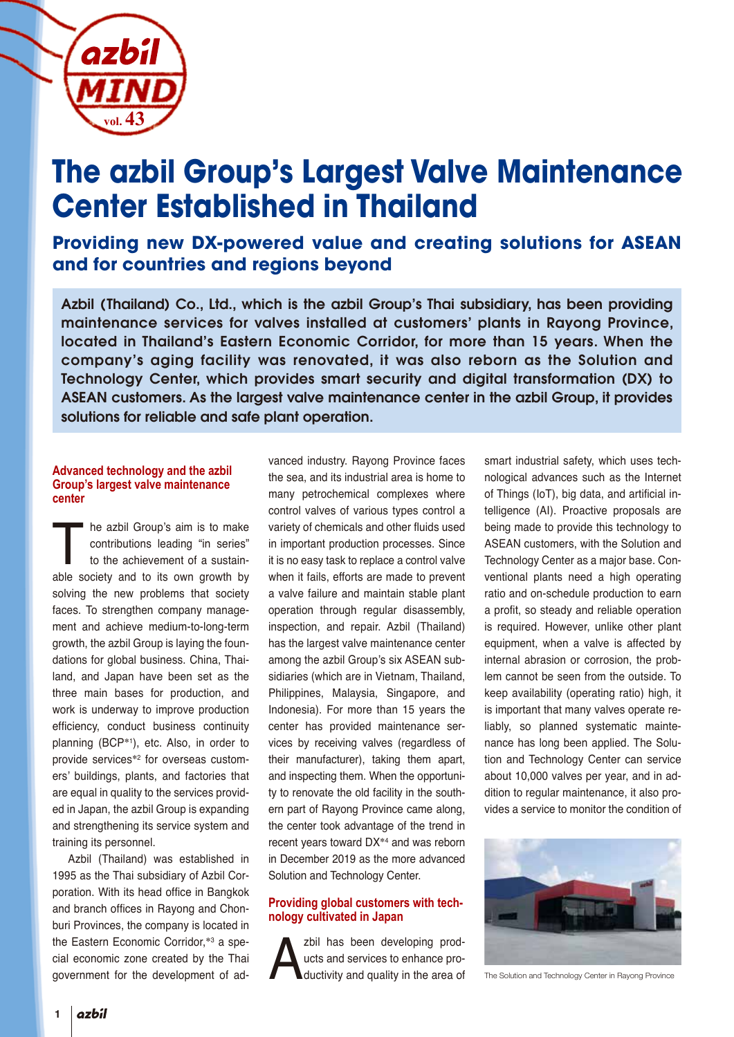

# **The azbil Group's Largest Valve Maintenance Center Established in Thailand**

**Providing new DX-powered value and creating solutions for ASEAN and for countries and regions beyond** 

Azbil (Thailand) Co., Ltd., which is the azbil Group's Thai subsidiary, has been providing maintenance services for valves installed at customers' plants in Rayong Province, located in Thailand's Eastern Economic Corridor, for more than 15 years. When the company's aging facility was renovated, it was also reborn as the Solution and Technology Center, which provides smart security and digital transformation (DX) to ASEAN customers. As the largest valve maintenance center in the azbil Group, it provides solutions for reliable and safe plant operation.

# **Advanced technology and the azbil Group's largest valve maintenance center**

The azbil Group's aim is to make<br>contributions leading "in series"<br>to the achievement of a sustain-<br>able society and to its own growth by contributions leading "in series" to the achievement of a sustainable society and to its own growth by solving the new problems that society faces. To strengthen company management and achieve medium-to-long-term growth, the azbil Group is laying the foundations for global business. China, Thailand, and Japan have been set as the three main bases for production, and work is underway to improve production efficiency, conduct business continuity planning (BCP\*<sup>1</sup> ), etc. Also, in order to provide services\*<sup>2</sup> for overseas customers' buildings, plants, and factories that are equal in quality to the services provided in Japan, the azbil Group is expanding and strengthening its service system and training its personnel.

Azbil (Thailand) was established in 1995 as the Thai subsidiary of Azbil Corporation. With its head office in Bangkok and branch offices in Rayong and Chonburi Provinces, the company is located in the Eastern Economic Corridor,\*<sup>3</sup> a special economic zone created by the Thai government for the development of advanced industry. Rayong Province faces the sea, and its industrial area is home to many petrochemical complexes where control valves of various types control a variety of chemicals and other fluids used in important production processes. Since it is no easy task to replace a control valve when it fails, efforts are made to prevent a valve failure and maintain stable plant operation through regular disassembly, inspection, and repair. Azbil (Thailand) has the largest valve maintenance center among the azbil Group's six ASEAN subsidiaries (which are in Vietnam, Thailand, Philippines, Malaysia, Singapore, and Indonesia). For more than 15 years the center has provided maintenance services by receiving valves (regardless of their manufacturer), taking them apart, and inspecting them. When the opportunity to renovate the old facility in the southern part of Rayong Province came along, the center took advantage of the trend in recent years toward DX\*<sup>4</sup> and was reborn in December 2019 as the more advanced Solution and Technology Center.

# **Providing global customers with technology cultivated in Japan**

zbil has been developing prod-<br>ucts and services to enhance pro-<br>ductivity and quality in the area of ucts and services to enhance productivity and quality in the area of smart industrial safety, which uses technological advances such as the Internet of Things (IoT), big data, and artificial intelligence (AI). Proactive proposals are being made to provide this technology to ASEAN customers, with the Solution and Technology Center as a major base. Conventional plants need a high operating ratio and on-schedule production to earn a profit, so steady and reliable operation is required. However, unlike other plant equipment, when a valve is affected by internal abrasion or corrosion, the problem cannot be seen from the outside. To keep availability (operating ratio) high, it is important that many valves operate reliably, so planned systematic maintenance has long been applied. The Solution and Technology Center can service about 10,000 valves per year, and in addition to regular maintenance, it also provides a service to monitor the condition of



The Solution and Technology Center in Rayong Province